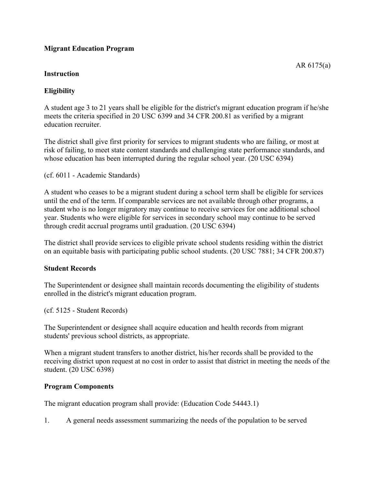# **Migrant Education Program**

### **Instruction**

A student age 3 to 21 years shall be eligible for the district's migrant education program if he/she meets the criteria specified in 20 USC 6399 and 34 CFR 200.81 as verified by a migrant education recruiter.

The district shall give first priority for services to migrant students who are failing, or most at risk of failing, to meet state content standards and challenging state performance standards, and whose education has been interrupted during the regular school year. (20 USC 6394)

(cf. 6011 - Academic Standards)

A student who ceases to be a migrant student during a school term shall be eligible for services until the end of the term. If comparable services are not available through other programs, a student who is no longer migratory may continue to receive services for one additional school year. Students who were eligible for services in secondary school may continue to be served through credit accrual programs until graduation. (20 USC 6394)

The district shall provide services to eligible private school students residing within the district on an equitable basis with participating public school students. (20 USC 7881; 34 CFR 200.87)

#### **Student Records**

The Superintendent or designee shall maintain records documenting the eligibility of students enrolled in the district's migrant education program.

(cf. 5125 - Student Records)

The Superintendent or designee shall acquire education and health records from migrant students' previous school districts, as appropriate.

When a migrant student transfers to another district, his/her records shall be provided to the receiving district upon request at no cost in order to assist that district in meeting the needs of the student. (20 USC 6398)

#### **Program Components**

The migrant education program shall provide: (Education Code 54443.1)

1. A general needs assessment summarizing the needs of the population to be served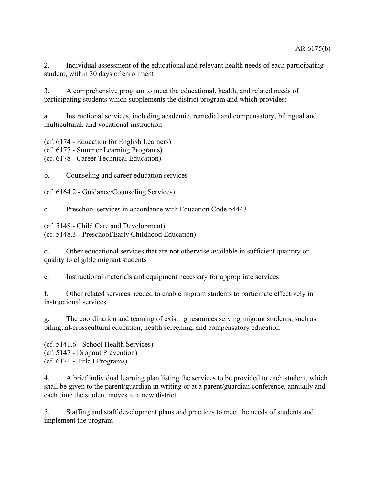2. Individual assessment of the educational and relevant health needs of each participating student, within 30 days of enrollment

3. A comprehensive program to meet the educational, health, and related needs of participating students which supplements the district program and which provides:

a. Instructional services, including academic, remedial and compensatory, bilingual and multicultural, and vocational instruction

(cf. 6174 - Education for English Learners) (cf. 6177 - Summer Learning Programs) (cf. 6178 - Career Technical Education)

b. Counseling and career education services

(cf. 6164.2 - Guidance/Counseling Services)

c. Preschool services in accordance with Education Code 54443

(cf. 5148 - Child Care and Development)

(cf. 5148.3 - Preschool/Early Childhood Education)

d. Other educational services that are not otherwise available in sufficient quantity or quality to eligible migrant students

e. Instructional materials and equipment necessary for appropriate services

f. Other related services needed to enable migrant students to participate effectively in instructional services

g. The coordination and teaming of existing resources serving migrant students, such as bilingual-crosscultural education, health screening, and compensatory education

(cf. 5141.6 - School Health Services) (cf. 5147 - Dropout Prevention) (cf. 6171 - Title I Programs)

4. A brief individual learning plan listing the services to be provided to each student, which shall be given to the parent/guardian in writing or at a parent/guardian conference, annually and each time the student moves to a new district

5. Staffing and staff development plans and practices to meet the needs of students and implement the program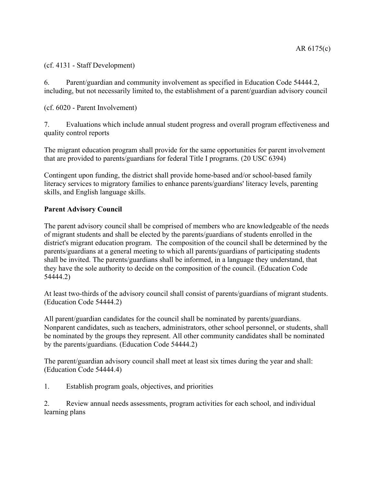(cf. 4131 - Staff Development)

6. Parent/guardian and community involvement as specified in Education Code 54444.2, including, but not necessarily limited to, the establishment of a parent/guardian advisory council

(cf. 6020 - Parent Involvement)

7. Evaluations which include annual student progress and overall program effectiveness and quality control reports

The migrant education program shall provide for the same opportunities for parent involvement that are provided to parents/guardians for federal Title I programs. (20 USC 6394)

Contingent upon funding, the district shall provide home-based and/or school-based family literacy services to migratory families to enhance parents/guardians' literacy levels, parenting skills, and English language skills.

## **Parent Advisory Council**

The parent advisory council shall be comprised of members who are knowledgeable of the needs of migrant students and shall be elected by the parents/guardians of students enrolled in the district's migrant education program. The composition of the council shall be determined by the parents/guardians at a general meeting to which all parents/guardians of participating students shall be invited. The parents/guardians shall be informed, in a language they understand, that they have the sole authority to decide on the composition of the council. (Education Code 54444.2)

At least two-thirds of the advisory council shall consist of parents/guardians of migrant students. (Education Code 54444.2)

All parent/guardian candidates for the council shall be nominated by parents/guardians. Nonparent candidates, such as teachers, administrators, other school personnel, or students, shall be nominated by the groups they represent. All other community candidates shall be nominated by the parents/guardians. (Education Code 54444.2)

The parent/guardian advisory council shall meet at least six times during the year and shall: (Education Code 54444.4)

1. Establish program goals, objectives, and priorities

2. Review annual needs assessments, program activities for each school, and individual learning plans